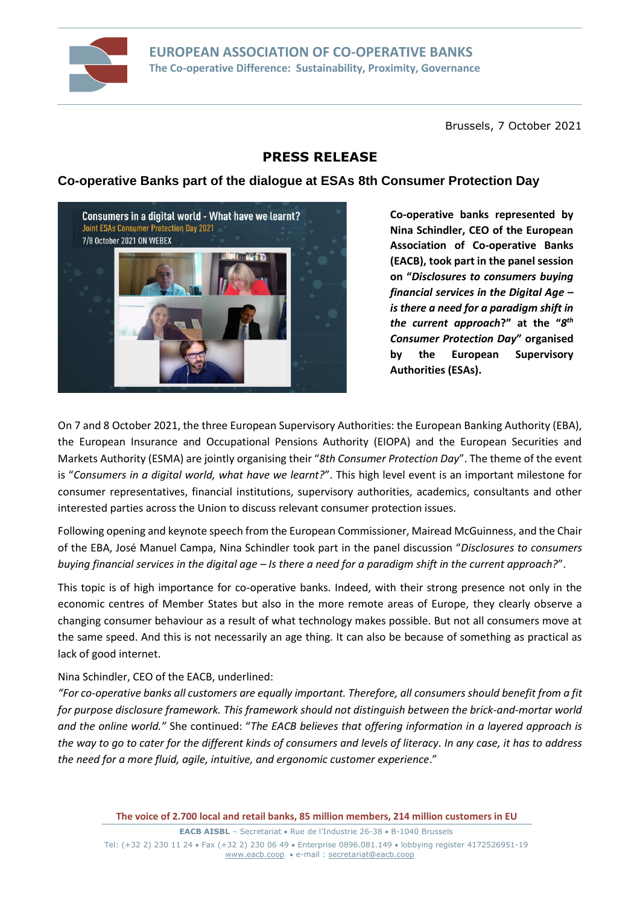

Brussels, 7 October 2021

# **PRESS RELEASE**

## **Co-operative Banks part of the dialogue at ESAs 8th Consumer Protection Day**



**Co-operative banks represented by Nina Schindler, CEO of the European Association of Co-operative Banks (EACB), took part in the panel session on "***Disclosures to consumers buying financial services in the Digital Age – is there a need for a paradigm shift in the current approach***?" at the "***8 th Consumer Protection Day***" organised by the European Supervisory Authorities (ESAs).**

On 7 and 8 October 2021, the three European Supervisory Authorities: the European Banking Authority (EBA), the European Insurance and Occupational Pensions Authority (EIOPA) and the European Securities and Markets Authority (ESMA) are jointly organising their "*8th Consumer Protection Day*". The theme of the event is "*Consumers in a digital world, what have we learnt?*". This high level event is an important milestone for consumer representatives, financial institutions, supervisory authorities, academics, consultants and other interested parties across the Union to discuss relevant consumer protection issues.

Following opening and keynote speech from the European Commissioner, Mairead McGuinness, and the Chair of the EBA, José Manuel Campa, Nina Schindler took part in the panel discussion "*Disclosures to consumers buying financial services in the digital age – Is there a need for a paradigm shift in the current approach?*".

This topic is of high importance for co-operative banks. Indeed, with their strong presence not only in the economic centres of Member States but also in the more remote areas of Europe, they clearly observe a changing consumer behaviour as a result of what technology makes possible. But not all consumers move at the same speed. And this is not necessarily an age thing. It can also be because of something as practical as lack of good internet.

### Nina Schindler, CEO of the EACB, underlined:

*"For co-operative banks all customers are equally important. Therefore, all consumers should benefit from a fit for purpose disclosure framework. This framework should not distinguish between the brick-and-mortar world and the online world."* She continued: "*The EACB believes that offering information in a layered approach is the way to go to cater for the different kinds of consumers and levels of literacy. In any case, it has to address the need for a more fluid, agile, intuitive, and ergonomic customer experience*."

**The voice of 2.700 local and retail banks, 85 million members, 214 million customers in EU**